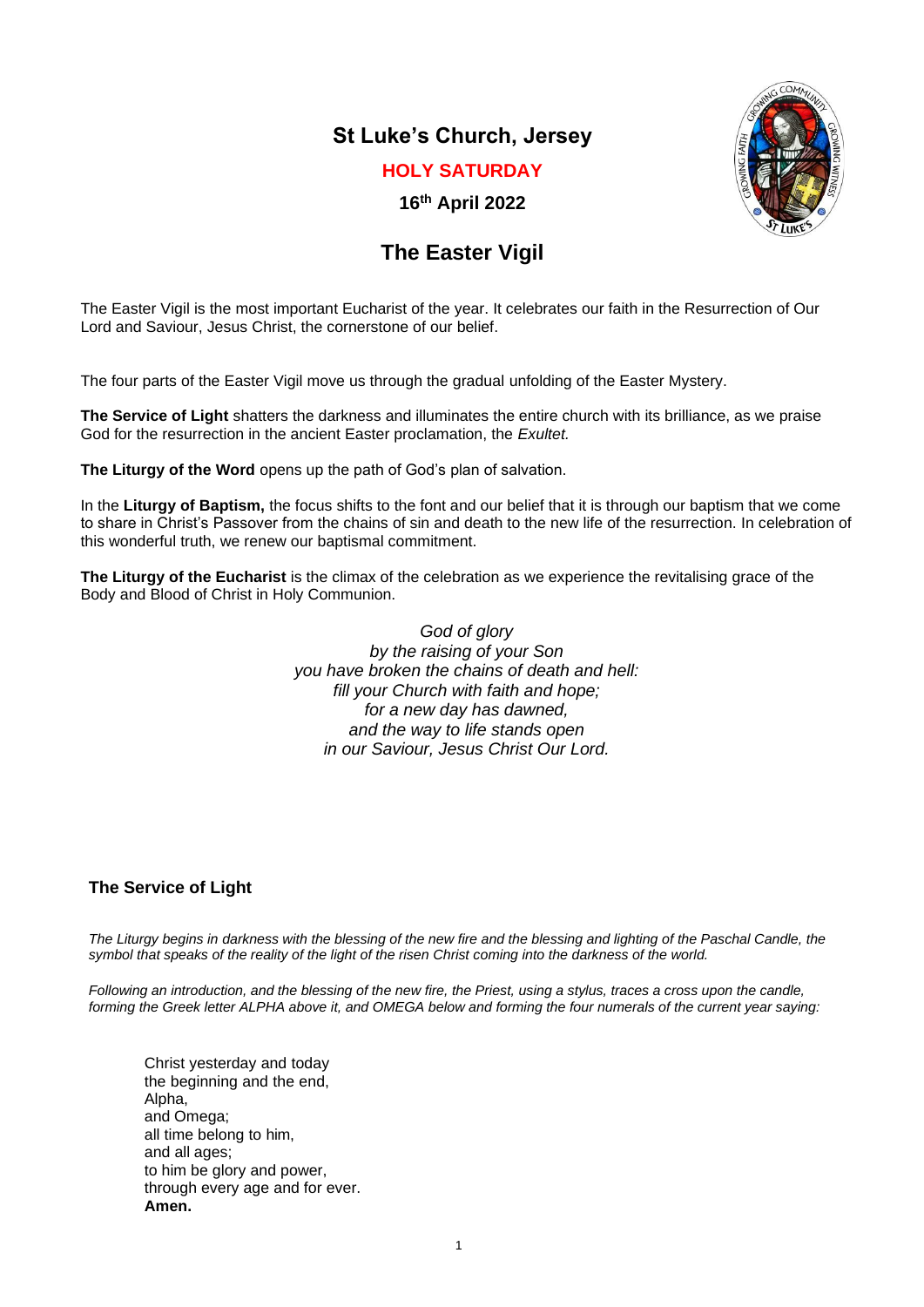# **St Luke's Church, Jersey**

# **HOLY SATURDAY**

**16th April 2022**

# **The Easter Vigil**

The Easter Vigil is the most important Eucharist of the year. It celebrates our faith in the Resurrection of Our Lord and Saviour, Jesus Christ, the cornerstone of our belief.

The four parts of the Easter Vigil move us through the gradual unfolding of the Easter Mystery.

**The Service of Light** shatters the darkness and illuminates the entire church with its brilliance, as we praise God for the resurrection in the ancient Easter proclamation, the *Exultet.*

**The Liturgy of the Word** opens up the path of God's plan of salvation.

In the **Liturgy of Baptism,** the focus shifts to the font and our belief that it is through our baptism that we come to share in Christ's Passover from the chains of sin and death to the new life of the resurrection. In celebration of this wonderful truth, we renew our baptismal commitment.

**The Liturgy of the Eucharist** is the climax of the celebration as we experience the revitalising grace of the Body and Blood of Christ in Holy Communion.

> *God of glory by the raising of your Son you have broken the chains of death and hell: fill your Church with faith and hope; for a new day has dawned, and the way to life stands open in our Saviour, Jesus Christ Our Lord.*

# **The Service of Light**

The Liturgy begins in darkness with the blessing of the new fire and the blessing and lighting of the Paschal Candle, the *symbol that speaks of the reality of the light of the risen Christ coming into the darkness of the world.*

*Following an introduction, and the blessing of the new fire, the Priest, using a stylus, traces a cross upon the candle, forming the Greek letter ALPHA above it, and OMEGA below and forming the four numerals of the current year saying:*

Christ yesterday and today the beginning and the end, Alpha, and Omega; all time belong to him, and all ages; to him be glory and power, through every age and for ever. **Amen.**

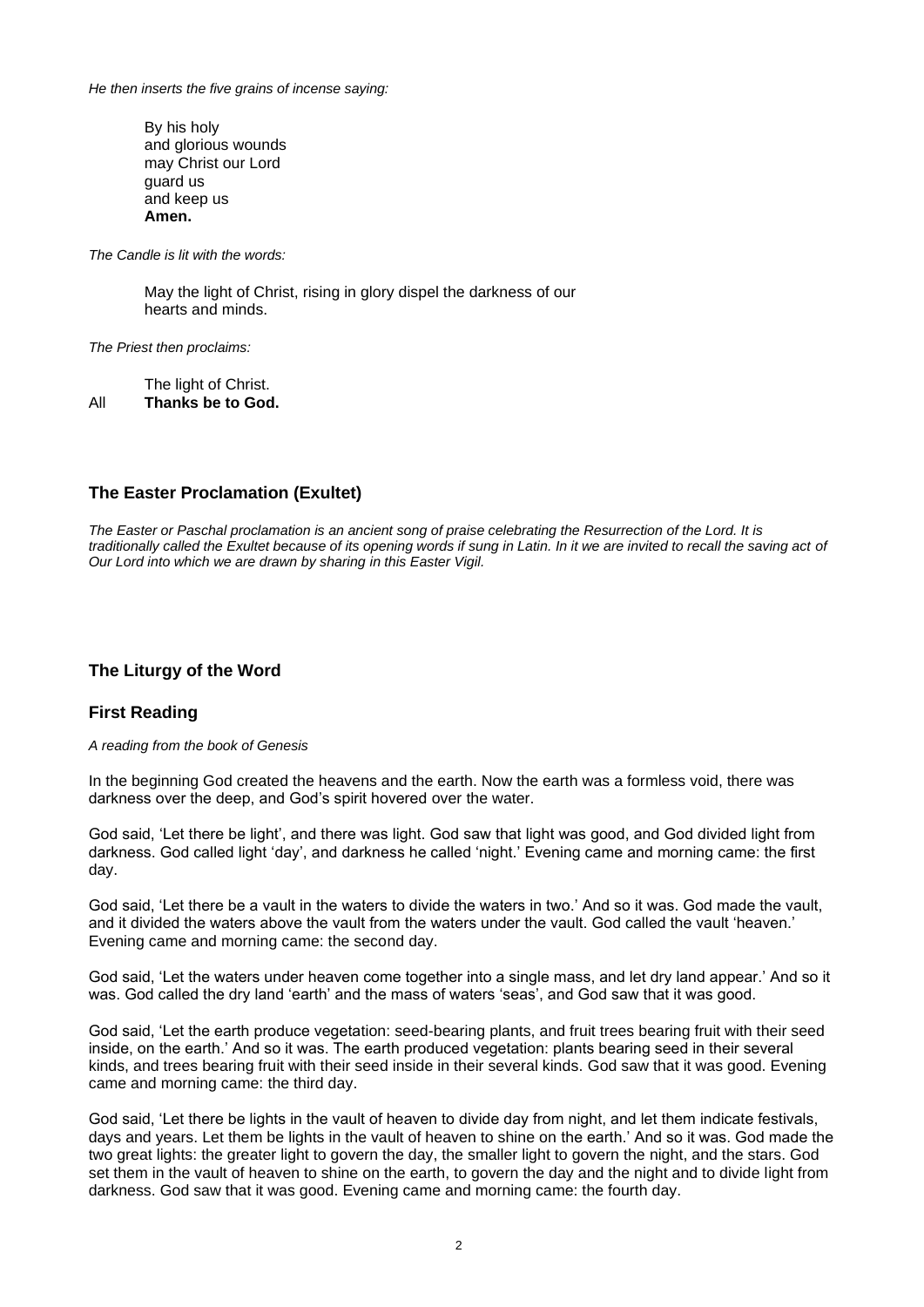*He then inserts the five grains of incense saying:*

By his holy and glorious wounds may Christ our Lord guard us and keep us **Amen.**

*The Candle is lit with the words:*

May the light of Christ, rising in glory dispel the darkness of our hearts and minds.

*The Priest then proclaims:*

The light of Christ. All **Thanks be to God.**

## **The Easter Proclamation (Exultet)**

*The Easter or Paschal proclamation is an ancient song of praise celebrating the Resurrection of the Lord. It is traditionally called the Exultet because of its opening words if sung in Latin. In it we are invited to recall the saving act of Our Lord into which we are drawn by sharing in this Easter Vigil.*

# **The Liturgy of the Word**

## **First Reading**

*A reading from the book of Genesis*

In the beginning God created the heavens and the earth. Now the earth was a formless void, there was darkness over the deep, and God's spirit hovered over the water.

God said, 'Let there be light', and there was light. God saw that light was good, and God divided light from darkness. God called light 'day', and darkness he called 'night.' Evening came and morning came: the first day.

God said, 'Let there be a vault in the waters to divide the waters in two.' And so it was. God made the vault, and it divided the waters above the vault from the waters under the vault. God called the vault 'heaven.' Evening came and morning came: the second day.

God said, 'Let the waters under heaven come together into a single mass, and let dry land appear.' And so it was. God called the dry land 'earth' and the mass of waters 'seas', and God saw that it was good.

God said, 'Let the earth produce vegetation: seed-bearing plants, and fruit trees bearing fruit with their seed inside, on the earth.' And so it was. The earth produced vegetation: plants bearing seed in their several kinds, and trees bearing fruit with their seed inside in their several kinds. God saw that it was good. Evening came and morning came: the third day.

God said, 'Let there be lights in the vault of heaven to divide day from night, and let them indicate festivals, days and years. Let them be lights in the vault of heaven to shine on the earth.' And so it was. God made the two great lights: the greater light to govern the day, the smaller light to govern the night, and the stars. God set them in the vault of heaven to shine on the earth, to govern the day and the night and to divide light from darkness. God saw that it was good. Evening came and morning came: the fourth day.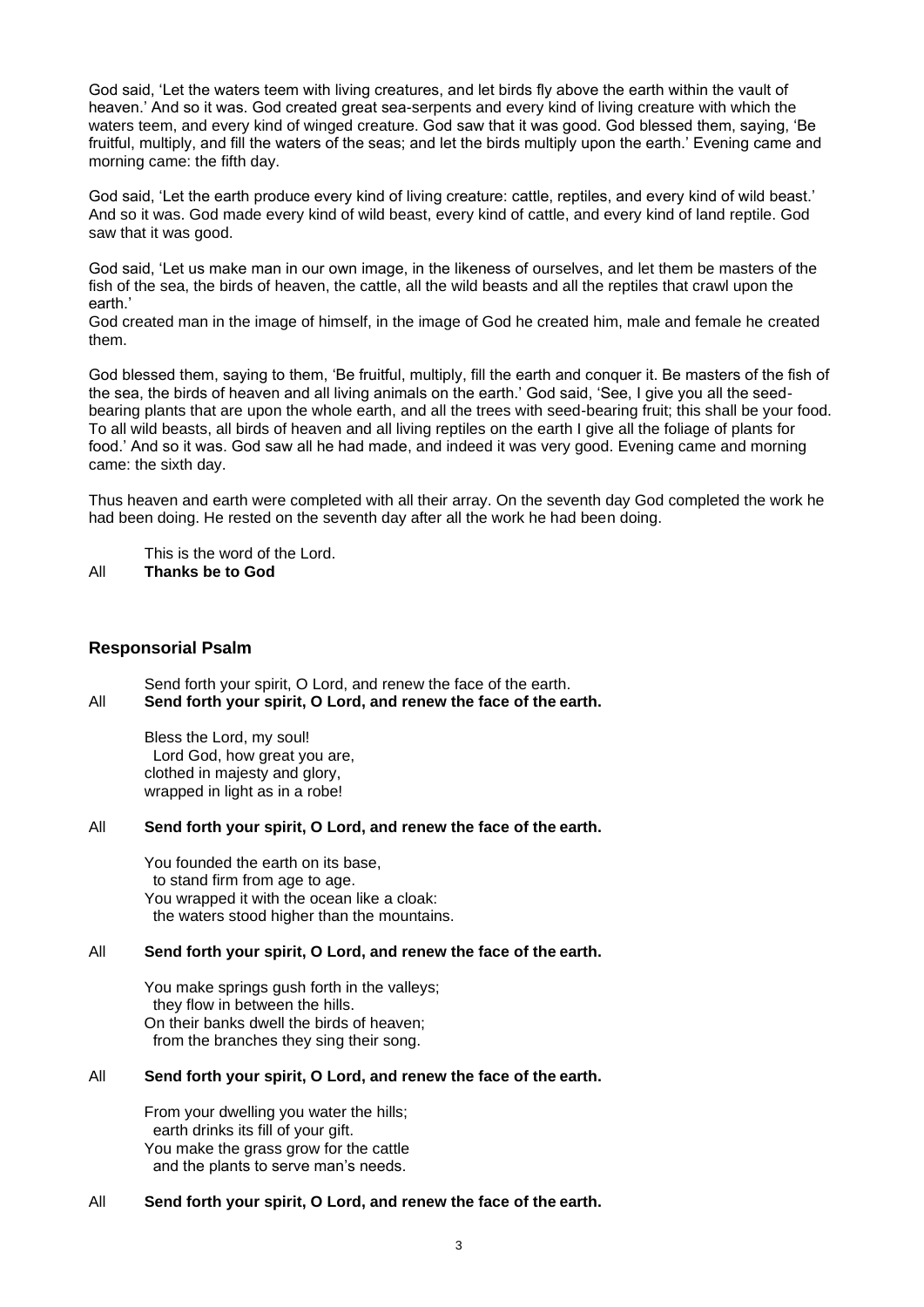God said, 'Let the waters teem with living creatures, and let birds fly above the earth within the vault of heaven.' And so it was. God created great sea-serpents and every kind of living creature with which the waters teem, and every kind of winged creature. God saw that it was good. God blessed them, saying, 'Be fruitful, multiply, and fill the waters of the seas; and let the birds multiply upon the earth.' Evening came and morning came: the fifth day.

God said, 'Let the earth produce every kind of living creature: cattle, reptiles, and every kind of wild beast.' And so it was. God made every kind of wild beast, every kind of cattle, and every kind of land reptile. God saw that it was good.

God said, 'Let us make man in our own image, in the likeness of ourselves, and let them be masters of the fish of the sea, the birds of heaven, the cattle, all the wild beasts and all the reptiles that crawl upon the earth.'

God created man in the image of himself, in the image of God he created him, male and female he created them.

God blessed them, saying to them, 'Be fruitful, multiply, fill the earth and conquer it. Be masters of the fish of the sea, the birds of heaven and all living animals on the earth.' God said, 'See, I give you all the seedbearing plants that are upon the whole earth, and all the trees with seed-bearing fruit; this shall be your food. To all wild beasts, all birds of heaven and all living reptiles on the earth I give all the foliage of plants for food.' And so it was. God saw all he had made, and indeed it was very good. Evening came and morning came: the sixth day.

Thus heaven and earth were completed with all their array. On the seventh day God completed the work he had been doing. He rested on the seventh day after all the work he had been doing.

This is the word of the Lord.

All **Thanks be to God**

#### **Responsorial Psalm**

Send forth your spirit, O Lord, and renew the face of the earth. All **Send forth your spirit, O Lord, and renew the face of the earth.**

> Bless the Lord, my soul! Lord God, how great you are, clothed in majesty and glory, wrapped in light as in a robe!

#### All **Send forth your spirit, O Lord, and renew the face of the earth.**

You founded the earth on its base, to stand firm from age to age. You wrapped it with the ocean like a cloak: the waters stood higher than the mountains.

#### All **Send forth your spirit, O Lord, and renew the face of the earth.**

You make springs gush forth in the valleys; they flow in between the hills. On their banks dwell the birds of heaven; from the branches they sing their song.

## All **Send forth your spirit, O Lord, and renew the face of the earth.**

From your dwelling you water the hills; earth drinks its fill of your gift. You make the grass grow for the cattle and the plants to serve man's needs.

#### All **Send forth your spirit, O Lord, and renew the face of the earth.**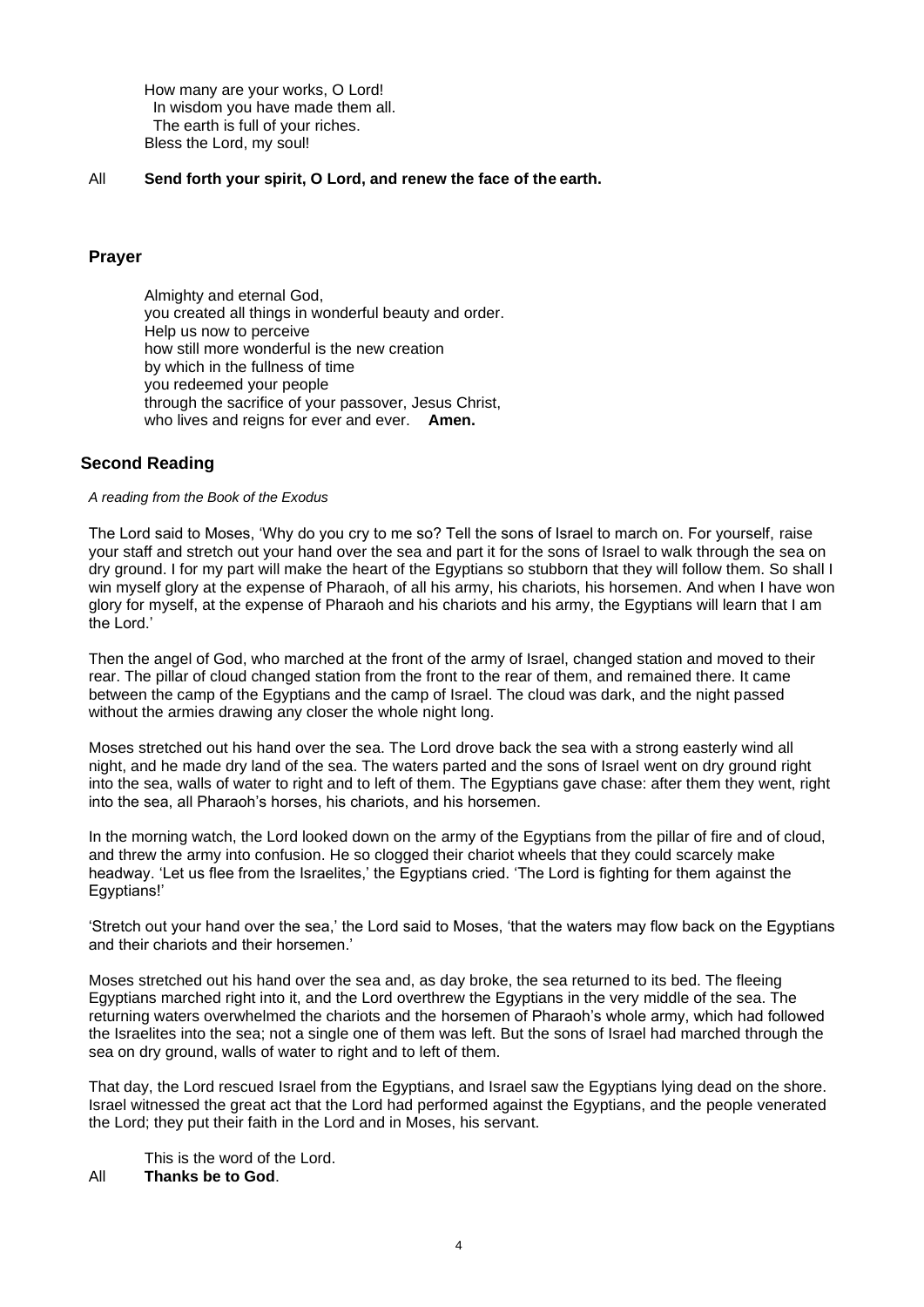How many are your works, O Lord! In wisdom you have made them all. The earth is full of your riches. Bless the Lord, my soul!

#### All **Send forth your spirit, O Lord, and renew the face of the earth.**

## **Prayer**

Almighty and eternal God, you created all things in wonderful beauty and order. Help us now to perceive how still more wonderful is the new creation by which in the fullness of time you redeemed your people through the sacrifice of your passover, Jesus Christ, who lives and reigns for ever and ever. **Amen.**

# **Second Reading**

*A reading from the Book of the Exodus*

The Lord said to Moses, 'Why do you cry to me so? Tell the sons of Israel to march on. For yourself, raise your staff and stretch out your hand over the sea and part it for the sons of Israel to walk through the sea on dry ground. I for my part will make the heart of the Egyptians so stubborn that they will follow them. So shall I win myself glory at the expense of Pharaoh, of all his army, his chariots, his horsemen. And when I have won glory for myself, at the expense of Pharaoh and his chariots and his army, the Egyptians will learn that I am the Lord.'

Then the angel of God, who marched at the front of the army of Israel, changed station and moved to their rear. The pillar of cloud changed station from the front to the rear of them, and remained there. It came between the camp of the Egyptians and the camp of Israel. The cloud was dark, and the night passed without the armies drawing any closer the whole night long.

Moses stretched out his hand over the sea. The Lord drove back the sea with a strong easterly wind all night, and he made dry land of the sea. The waters parted and the sons of Israel went on dry ground right into the sea, walls of water to right and to left of them. The Egyptians gave chase: after them they went, right into the sea, all Pharaoh's horses, his chariots, and his horsemen.

In the morning watch, the Lord looked down on the army of the Egyptians from the pillar of fire and of cloud, and threw the army into confusion. He so clogged their chariot wheels that they could scarcely make headway. 'Let us flee from the Israelites,' the Egyptians cried. 'The Lord is fighting for them against the Egyptians!'

'Stretch out your hand over the sea,' the Lord said to Moses, 'that the waters may flow back on the Egyptians and their chariots and their horsemen.'

Moses stretched out his hand over the sea and, as day broke, the sea returned to its bed. The fleeing Egyptians marched right into it, and the Lord overthrew the Egyptians in the very middle of the sea. The returning waters overwhelmed the chariots and the horsemen of Pharaoh's whole army, which had followed the Israelites into the sea; not a single one of them was left. But the sons of Israel had marched through the sea on dry ground, walls of water to right and to left of them.

That day, the Lord rescued Israel from the Egyptians, and Israel saw the Egyptians lying dead on the shore. Israel witnessed the great act that the Lord had performed against the Egyptians, and the people venerated the Lord; they put their faith in the Lord and in Moses, his servant.

This is the word of the Lord.

All **Thanks be to God**.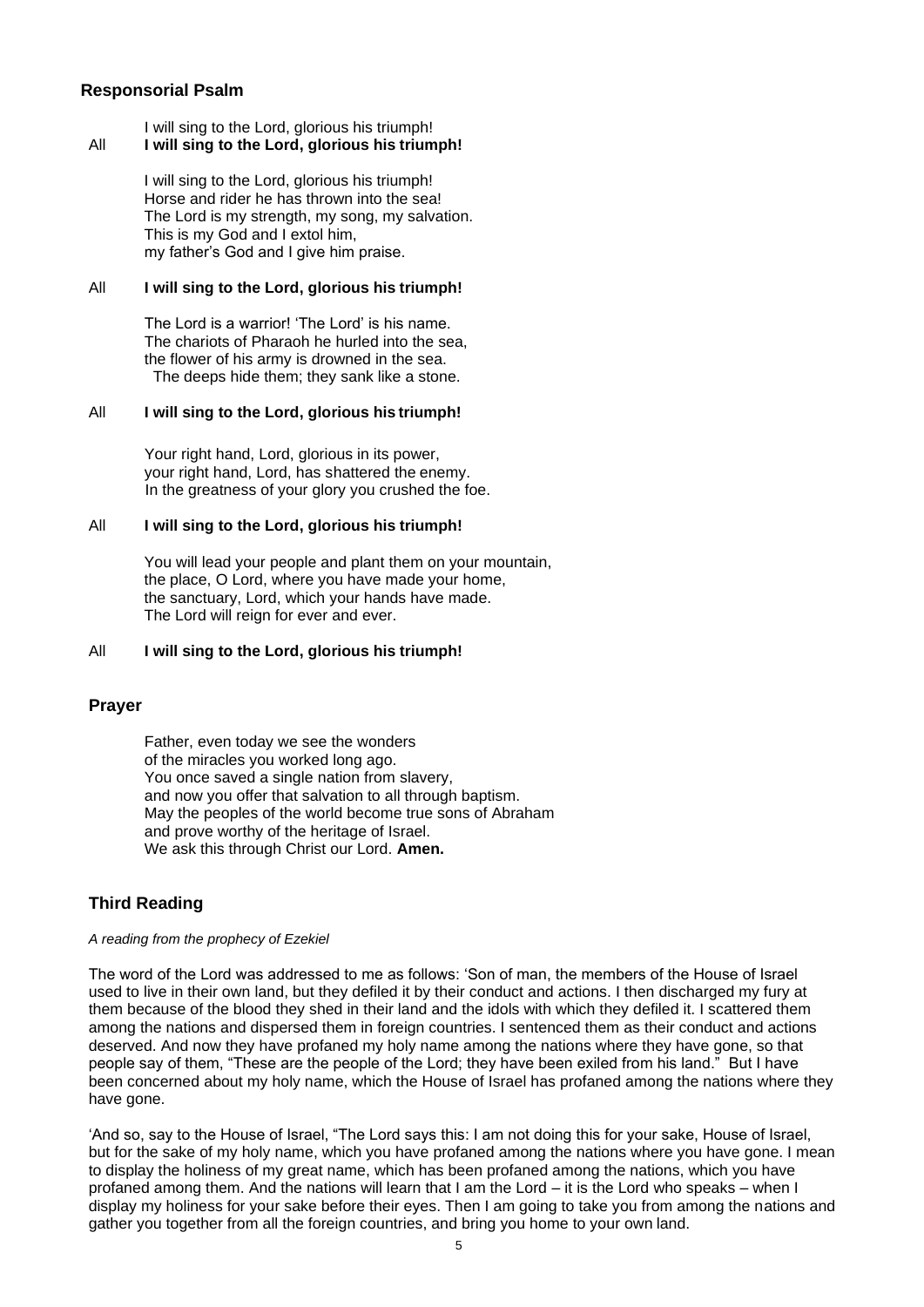## **Responsorial Psalm**

I will sing to the Lord, glorious his triumph!

# All **I will sing to the Lord, glorious his triumph!**

I will sing to the Lord, glorious his triumph! Horse and rider he has thrown into the sea! The Lord is my strength, my song, my salvation. This is my God and I extol him, my father's God and I give him praise.

## All **I will sing to the Lord, glorious his triumph!**

The Lord is a warrior! 'The Lord' is his name. The chariots of Pharaoh he hurled into the sea, the flower of his army is drowned in the sea. The deeps hide them; they sank like a stone.

#### All **I will sing to the Lord, glorious his triumph!**

Your right hand, Lord, glorious in its power, your right hand, Lord, has shattered the enemy. In the greatness of your glory you crushed the foe.

#### All **I will sing to the Lord, glorious his triumph!**

You will lead your people and plant them on your mountain, the place, O Lord, where you have made your home, the sanctuary, Lord, which your hands have made. The Lord will reign for ever and ever.

#### All **I will sing to the Lord, glorious his triumph!**

## **Prayer**

Father, even today we see the wonders of the miracles you worked long ago. You once saved a single nation from slavery, and now you offer that salvation to all through baptism. May the peoples of the world become true sons of Abraham and prove worthy of the heritage of Israel. We ask this through Christ our Lord. **Amen.**

# **Third Reading**

#### *A reading from the prophecy of Ezekiel*

The word of the Lord was addressed to me as follows: 'Son of man, the members of the House of Israel used to live in their own land, but they defiled it by their conduct and actions. I then discharged my fury at them because of the blood they shed in their land and the idols with which they defiled it. I scattered them among the nations and dispersed them in foreign countries. I sentenced them as their conduct and actions deserved. And now they have profaned my holy name among the nations where they have gone, so that people say of them, "These are the people of the Lord; they have been exiled from his land." But I have been concerned about my holy name, which the House of Israel has profaned among the nations where they have gone.

'And so, say to the House of Israel, "The Lord says this: I am not doing this for your sake, House of Israel, but for the sake of my holy name, which you have profaned among the nations where you have gone. I mean to display the holiness of my great name, which has been profaned among the nations, which you have profaned among them. And the nations will learn that I am the Lord – it is the Lord who speaks – when I display my holiness for your sake before their eyes. Then I am going to take you from among the nations and gather you together from all the foreign countries, and bring you home to your own land.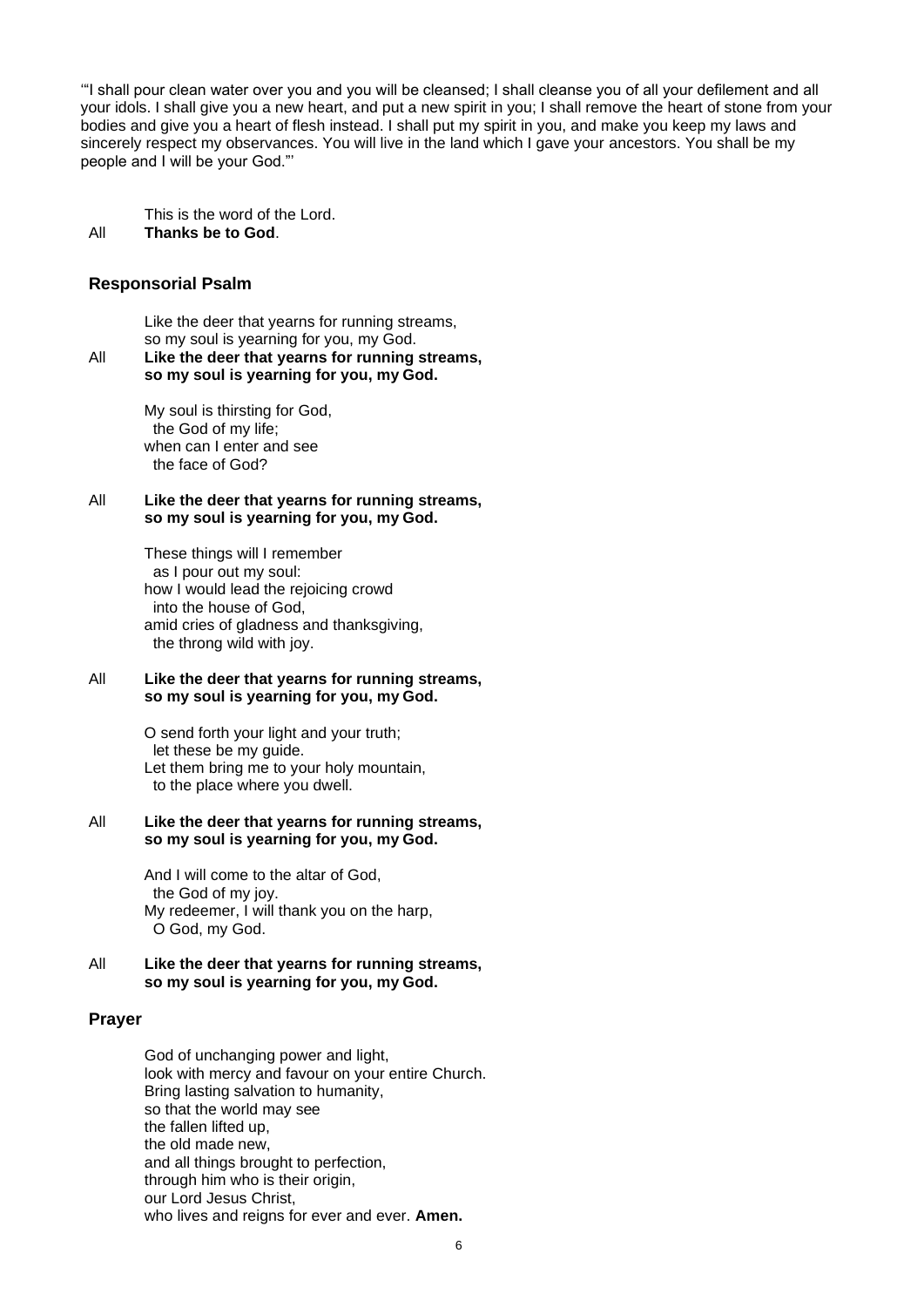'"I shall pour clean water over you and you will be cleansed; I shall cleanse you of all your defilement and all your idols. I shall give you a new heart, and put a new spirit in you; I shall remove the heart of stone from your bodies and give you a heart of flesh instead. I shall put my spirit in you, and make you keep my laws and sincerely respect my observances. You will live in the land which I gave your ancestors. You shall be my people and I will be your God."'

This is the word of the Lord. All **Thanks be to God**.

#### **Responsorial Psalm**

Like the deer that yearns for running streams, so my soul is yearning for you, my God.

#### All **Like the deer that yearns for running streams, so my soul is yearning for you, my God.**

My soul is thirsting for God, the God of my life; when can I enter and see the face of God?

#### All **Like the deer that yearns for running streams, so my soul is yearning for you, my God.**

These things will I remember as I pour out my soul: how I would lead the rejoicing crowd into the house of God, amid cries of gladness and thanksgiving, the throng wild with joy.

#### All **Like the deer that yearns for running streams, so my soul is yearning for you, my God.**

O send forth your light and your truth; let these be my guide. Let them bring me to your holy mountain, to the place where you dwell.

#### All **Like the deer that yearns for running streams, so my soul is yearning for you, my God.**

And I will come to the altar of God, the God of my joy. My redeemer, I will thank you on the harp, O God, my God.

#### All **Like the deer that yearns for running streams, so my soul is yearning for you, my God.**

## **Prayer**

God of unchanging power and light, look with mercy and favour on your entire Church. Bring lasting salvation to humanity, so that the world may see the fallen lifted up, the old made new, and all things brought to perfection, through him who is their origin, our Lord Jesus Christ, who lives and reigns for ever and ever. **Amen.**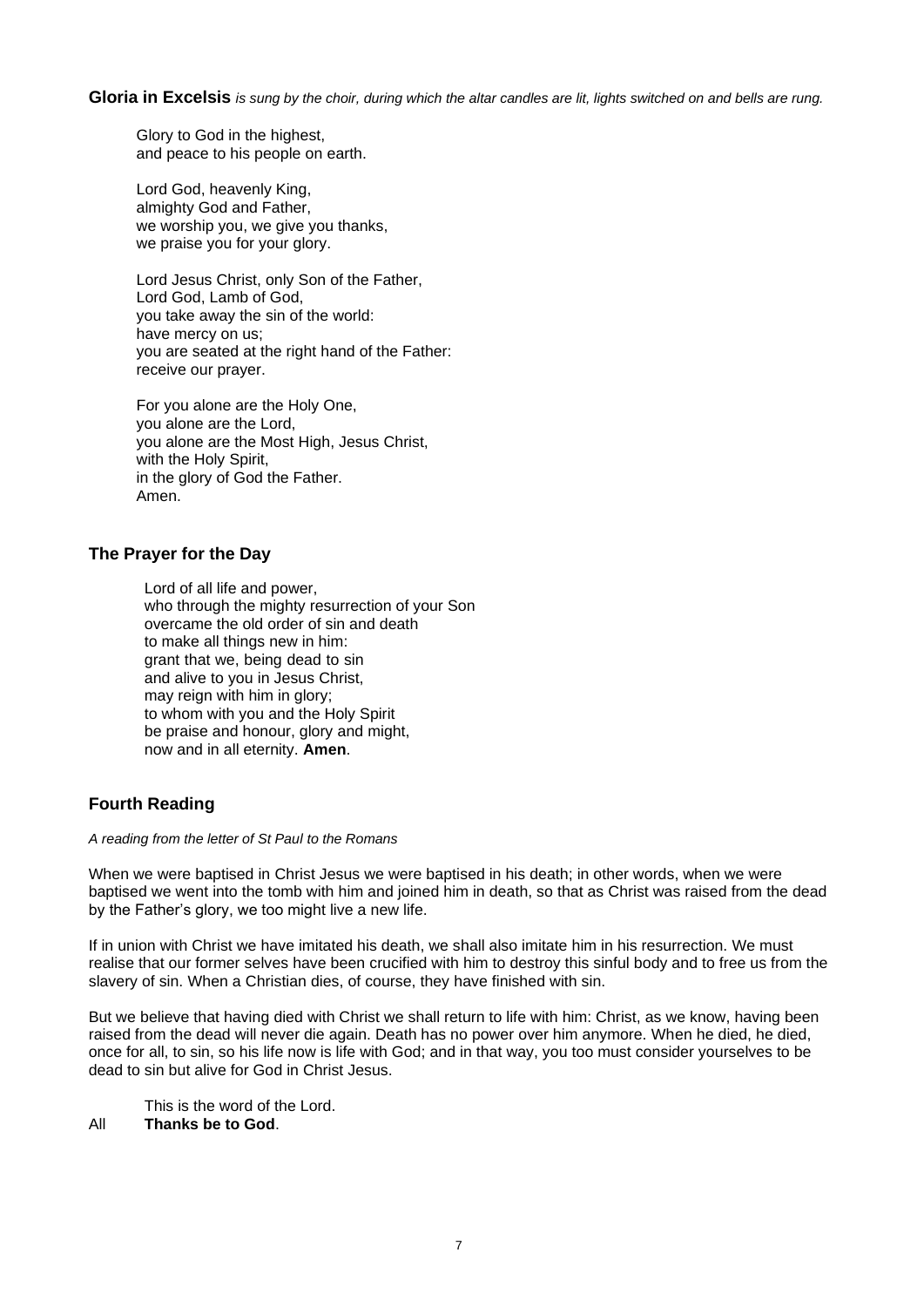**Gloria in Excelsis** *is sung by the choir, during which the altar candles are lit, lights switched on and bells are rung.*

Glory to God in the highest, and peace to his people on earth.

Lord God, heavenly King, almighty God and Father, we worship you, we give you thanks, we praise you for your glory.

Lord Jesus Christ, only Son of the Father, Lord God, Lamb of God, you take away the sin of the world: have mercy on us; you are seated at the right hand of the Father: receive our prayer.

For you alone are the Holy One, you alone are the Lord, you alone are the Most High, Jesus Christ, with the Holy Spirit, in the glory of God the Father. Amen.

## **The Prayer for the Day**

Lord of all life and power, who through the mighty resurrection of your Son overcame the old order of sin and death to make all things new in him: grant that we, being dead to sin and alive to you in Jesus Christ, may reign with him in glory; to whom with you and the Holy Spirit be praise and honour, glory and might, now and in all eternity. **Amen**.

# **Fourth Reading**

*A reading from the letter of St Paul to the Romans*

When we were baptised in Christ Jesus we were baptised in his death; in other words, when we were baptised we went into the tomb with him and joined him in death, so that as Christ was raised from the dead by the Father's glory, we too might live a new life.

If in union with Christ we have imitated his death, we shall also imitate him in his resurrection. We must realise that our former selves have been crucified with him to destroy this sinful body and to free us from the slavery of sin. When a Christian dies, of course, they have finished with sin.

But we believe that having died with Christ we shall return to life with him: Christ, as we know, having been raised from the dead will never die again. Death has no power over him anymore. When he died, he died, once for all, to sin, so his life now is life with God; and in that way, you too must consider yourselves to be dead to sin but alive for God in Christ Jesus.

This is the word of the Lord. All **Thanks be to God**.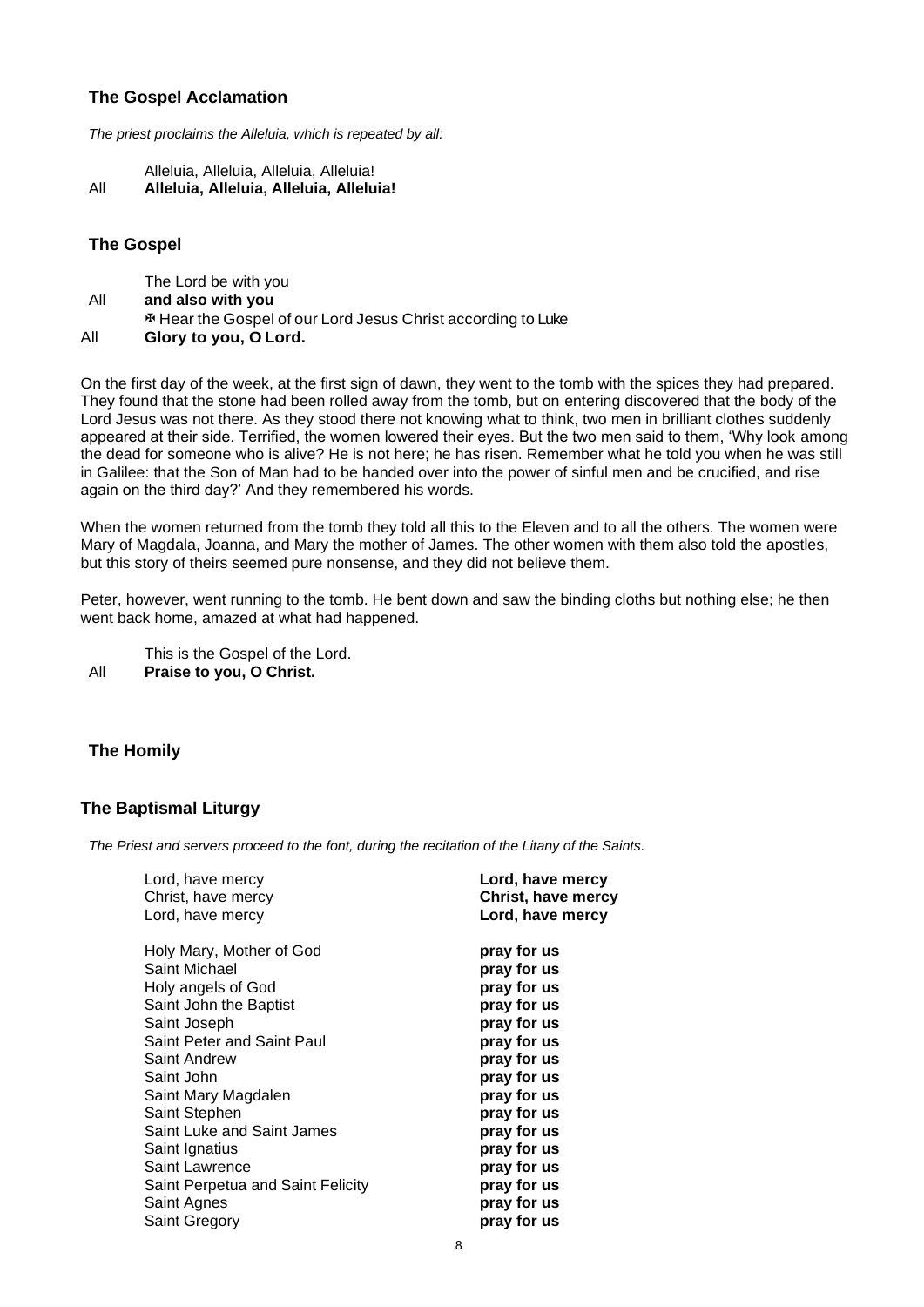# **The Gospel Acclamation**

*The priest proclaims the Alleluia, which is repeated by all:*

Alleluia, Alleluia, Alleluia, Alleluia! All **Alleluia, Alleluia, Alleluia, Alleluia!**

## **The Gospel**

- The Lord be with you
- All **and also with you**
- Hear the Gospel of our Lord Jesus Christ according to Luke
- All **Glory to you, O Lord.**

On the first day of the week, at the first sign of dawn, they went to the tomb with the spices they had prepared. They found that the stone had been rolled away from the tomb, but on entering discovered that the body of the Lord Jesus was not there. As they stood there not knowing what to think, two men in brilliant clothes suddenly appeared at their side. Terrified, the women lowered their eyes. But the two men said to them, 'Why look among the dead for someone who is alive? He is not here; he has risen. Remember what he told you when he was still in Galilee: that the Son of Man had to be handed over into the power of sinful men and be crucified, and rise again on the third day?' And they remembered his words.

When the women returned from the tomb they told all this to the Eleven and to all the others. The women were Mary of Magdala, Joanna, and Mary the mother of James. The other women with them also told the apostles, but this story of theirs seemed pure nonsense, and they did not believe them.

Peter, however, went running to the tomb. He bent down and saw the binding cloths but nothing else; he then went back home, amazed at what had happened.

This is the Gospel of the Lord. All **Praise to you, O Christ.**

# **The Homily**

# **The Baptismal Liturgy**

*The Priest and servers proceed to the font, during the recitation of the Litany of the Saints.*

| Lord, have mercy<br>Christ, have mercy<br>Lord, have mercy | Lord, have mercy<br>Christ, have mercy<br>Lord, have mercy |
|------------------------------------------------------------|------------------------------------------------------------|
| Holy Mary, Mother of God                                   | pray for us                                                |
| Saint Michael                                              | pray for us                                                |
| Holy angels of God                                         | pray for us                                                |
| Saint John the Baptist                                     | pray for us                                                |
| Saint Joseph                                               | pray for us                                                |
| Saint Peter and Saint Paul                                 | pray for us                                                |
| Saint Andrew                                               | pray for us                                                |
| Saint John                                                 | pray for us                                                |
| Saint Mary Magdalen                                        | pray for us                                                |
| Saint Stephen                                              | pray for us                                                |
| Saint Luke and Saint James                                 | pray for us                                                |
| Saint Ignatius                                             | pray for us                                                |
| Saint Lawrence                                             | pray for us                                                |
| Saint Perpetua and Saint Felicity                          | pray for us                                                |
| Saint Agnes                                                | pray for us                                                |
| Saint Gregory                                              | pray for us                                                |
|                                                            |                                                            |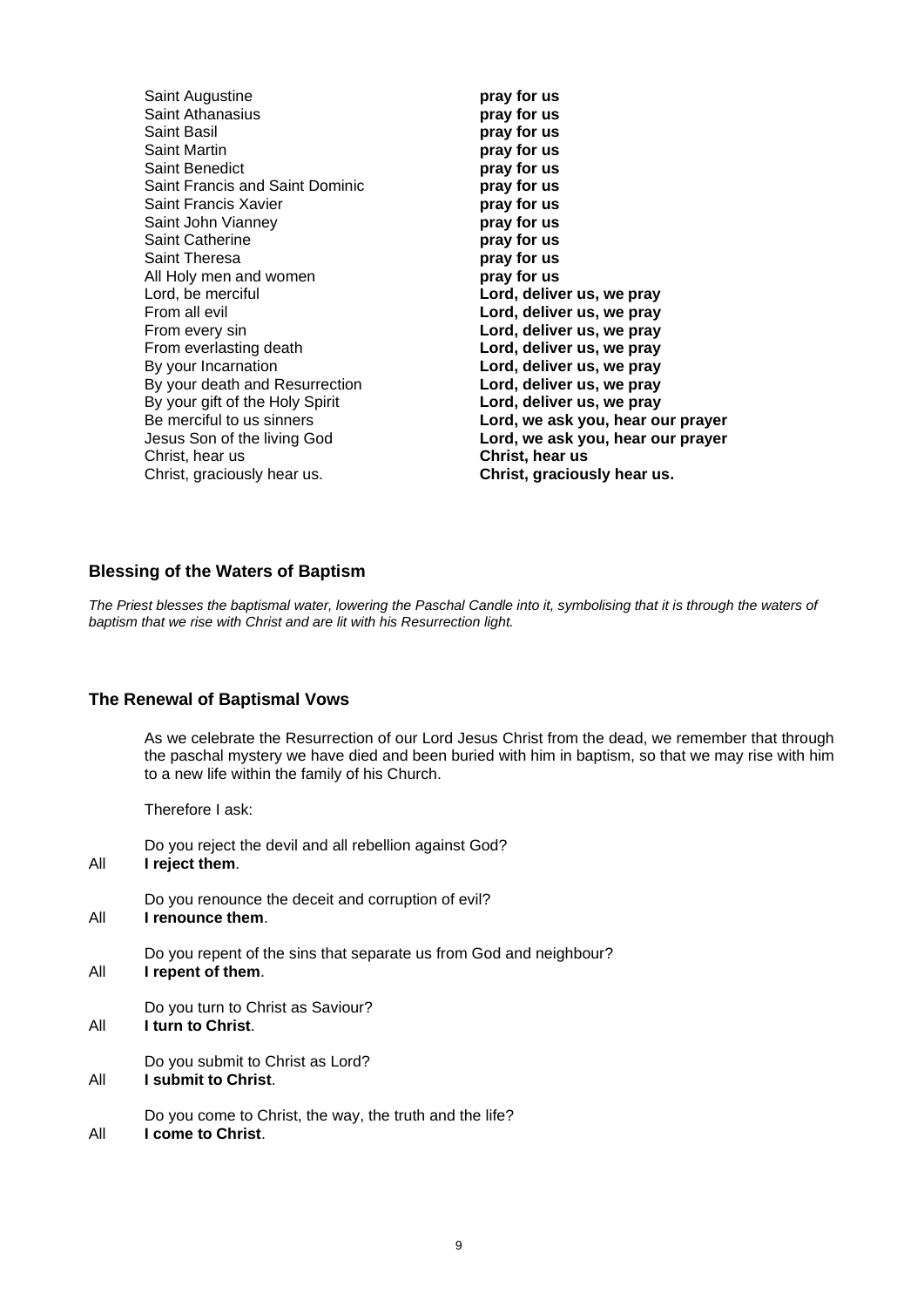| Saint Augustine                        | pray for us                       |
|----------------------------------------|-----------------------------------|
| Saint Athanasius                       | pray for us                       |
| Saint Basil                            | pray for us                       |
| <b>Saint Martin</b>                    | pray for us                       |
| Saint Benedict                         | pray for us                       |
| <b>Saint Francis and Saint Dominic</b> | pray for us                       |
| Saint Francis Xavier                   | pray for us                       |
| Saint John Vianney                     | pray for us                       |
| <b>Saint Catherine</b>                 | pray for us                       |
| Saint Theresa                          | pray for us                       |
| All Holy men and women                 | pray for us                       |
| Lord, be merciful                      | Lord, deliver us, we pray         |
| From all evil                          | Lord, deliver us, we pray         |
| From every sin                         | Lord, deliver us, we pray         |
| From everlasting death                 | Lord, deliver us, we pray         |
| By your Incarnation                    | Lord, deliver us, we pray         |
| By your death and Resurrection         | Lord, deliver us, we pray         |
| By your gift of the Holy Spirit        | Lord, deliver us, we pray         |
| Be merciful to us sinners              | Lord, we ask you, hear our prayer |
| Jesus Son of the living God            | Lord, we ask you, hear our prayer |
| Christ, hear us                        | Christ, hear us                   |
| Christ, graciously hear us.            | Christ, graciously hear us.       |
|                                        |                                   |

## **Blessing of the Waters of Baptism**

*The Priest blesses the baptismal water, lowering the Paschal Candle into it, symbolising that it is through the waters of baptism that we rise with Christ and are lit with his Resurrection light.*

## **The Renewal of Baptismal Vows**

As we celebrate the Resurrection of our Lord Jesus Christ from the dead, we remember that through the paschal mystery we have died and been buried with him in baptism, so that we may rise with him to a new life within the family of his Church.

Therefore I ask:

| All | Do you reject the devil and all rebellion against God?<br>I reject them.                |
|-----|-----------------------------------------------------------------------------------------|
| All | Do you renounce the deceit and corruption of evil?<br>I renounce them.                  |
| All | Do you repent of the sins that separate us from God and neighbour?<br>I repent of them. |
| All | Do you turn to Christ as Saviour?<br><b>I turn to Christ.</b>                           |
| All | Do you submit to Christ as Lord?<br>I submit to Christ.                                 |
| All | Do you come to Christ, the way, the truth and the life?<br>I come to Christ.            |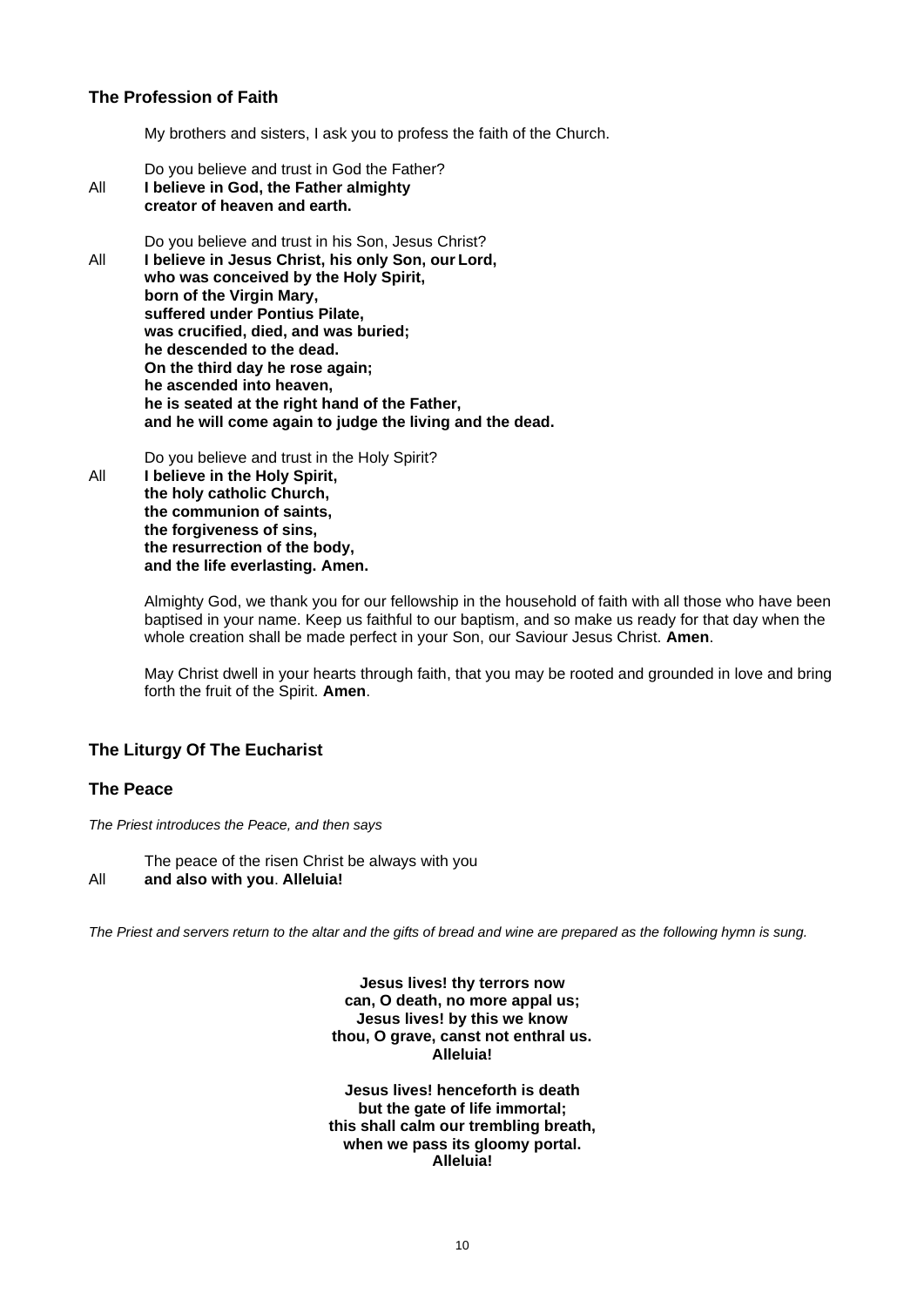## **The Profession of Faith**

My brothers and sisters, I ask you to profess the faith of the Church.

Do you believe and trust in God the Father? All **I believe in God, the Father almighty creator of heaven and earth.**

Do you believe and trust in his Son, Jesus Christ? All **I believe in Jesus Christ, his only Son, our Lord, who was conceived by the Holy Spirit, born of the Virgin Mary, suffered under Pontius Pilate, was crucified, died, and was buried; he descended to the dead. On the third day he rose again; he ascended into heaven, he is seated at the right hand of the Father, and he will come again to judge the living and the dead.**

Do you believe and trust in the Holy Spirit? All **I believe in the Holy Spirit, the holy catholic Church, the communion of saints, the forgiveness of sins, the resurrection of the body, and the life everlasting. Amen.**

> Almighty God, we thank you for our fellowship in the household of faith with all those who have been baptised in your name. Keep us faithful to our baptism, and so make us ready for that day when the whole creation shall be made perfect in your Son, our Saviour Jesus Christ. **Amen**.

> May Christ dwell in your hearts through faith, that you may be rooted and grounded in love and bring forth the fruit of the Spirit. **Amen**.

# **The Liturgy Of The Eucharist**

#### **The Peace**

*The Priest introduces the Peace, and then says*

The peace of the risen Christ be always with you

All **and also with you**. **Alleluia!**

*The Priest and servers return to the altar and the gifts of bread and wine are prepared as the following hymn is sung.*

**Jesus lives! thy terrors now can, O death, no more appal us; Jesus lives! by this we know thou, O grave, canst not enthral us. Alleluia!**

**Jesus lives! henceforth is death but the gate of life immortal; this shall calm our trembling breath, when we pass its gloomy portal. Alleluia!**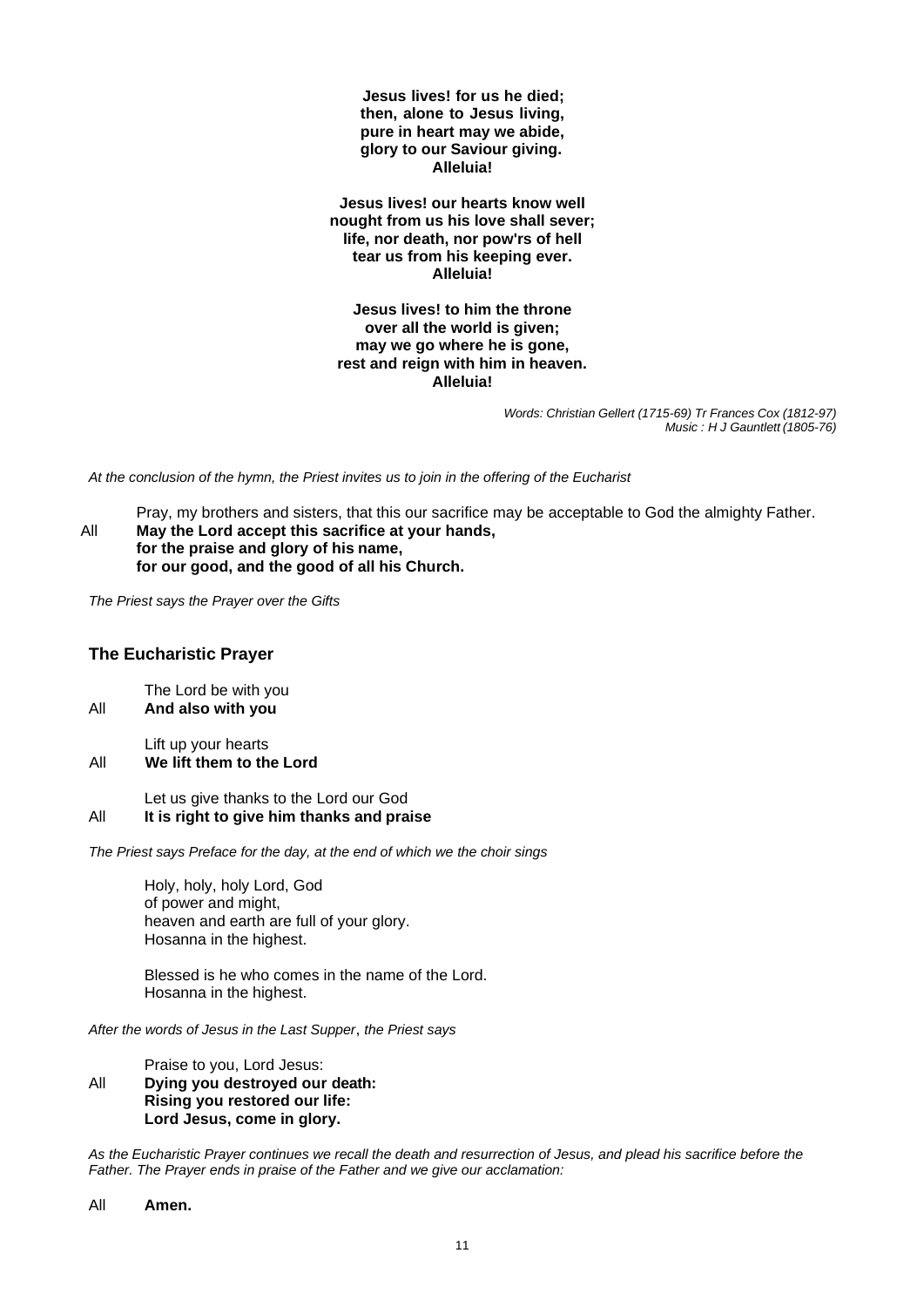**Jesus lives! for us he died; then, alone to Jesus living, pure in heart may we abide, glory to our Saviour giving. Alleluia!**

**Jesus lives! our hearts know well nought from us his love shall sever; life, nor death, nor pow'rs of hell tear us from his keeping ever. Alleluia!**

**Jesus lives! to him the throne over all the world is given; may we go where he is gone, rest and reign with him in heaven. Alleluia!**

> *Words: Christian Gellert (1715-69) Tr Frances Cox (1812-97) Music : H J Gauntlett (1805-76)*

*At the conclusion of the hymn, the Priest invites us to join in the offering of the Eucharist*

Pray, my brothers and sisters, that this our sacrifice may be acceptable to God the almighty Father. All **May the Lord accept this sacrifice at your hands, for the praise and glory of his name, for our good, and the good of all his Church.**

*The Priest says the Prayer over the Gifts*

#### **The Eucharistic Prayer**

The Lord be with you

#### All **And also with you**

Lift up your hearts All **We lift them to the Lord**

Let us give thanks to the Lord our God All **It is right to give him thanks and praise**

*The Priest says Preface for the day, at the end of which we the choir sings*

Holy, holy, holy Lord, God of power and might, heaven and earth are full of your glory. Hosanna in the highest.

Blessed is he who comes in the name of the Lord. Hosanna in the highest.

*After the words of Jesus in the Last Supper*, *the Priest says*

Praise to you, Lord Jesus: All **Dying you destroyed our death: Rising you restored our life: Lord Jesus, come in glory.**

*As the Eucharistic Prayer continues we recall the death and resurrection of Jesus, and plead his sacrifice before the Father. The Prayer ends in praise of the Father and we give our acclamation:*

All **Amen.**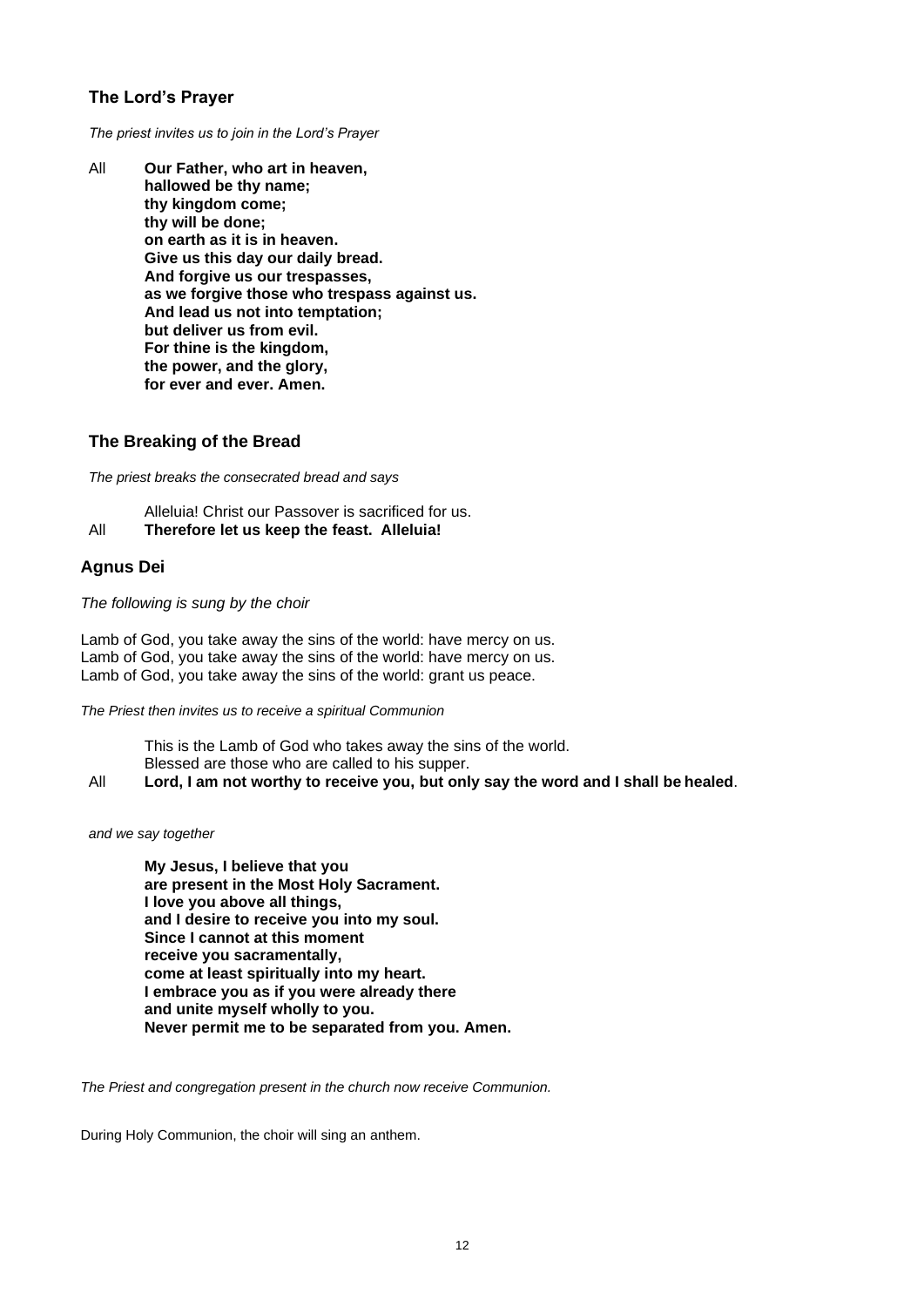## **The Lord's Prayer**

*The priest invites us to join in the Lord's Prayer*

All **Our Father, who art in heaven, hallowed be thy name; thy kingdom come; thy will be done; on earth as it is in heaven. Give us this day our daily bread. And forgive us our trespasses, as we forgive those who trespass against us. And lead us not into temptation; but deliver us from evil. For thine is the kingdom, the power, and the glory, for ever and ever. Amen.**

# **The Breaking of the Bread**

*The priest breaks the consecrated bread and says*

Alleluia! Christ our Passover is sacrificed for us. All **Therefore let us keep the feast. Alleluia!**

# **Agnus Dei**

*The following is sung by the choir*

Lamb of God, you take away the sins of the world: have mercy on us. Lamb of God, you take away the sins of the world: have mercy on us. Lamb of God, you take away the sins of the world: grant us peace.

*The Priest then invites us to receive a spiritual Communion*

| This is the Lamb of God who takes away the sins of the world.                                                  |
|----------------------------------------------------------------------------------------------------------------|
| Blessed are those who are called to his supper.                                                                |
| . In each the concept consent of the consensus of the books of consensus of the first state of the first of th |

All **Lord, I am not worthy to receive you, but only say the word and I shall be healed**.

*and we say together*

**My Jesus, I believe that you are present in the Most Holy Sacrament. I love you above all things, and I desire to receive you into my soul. Since I cannot at this moment receive you sacramentally, come at least spiritually into my heart. I embrace you as if you were already there and unite myself wholly to you. Never permit me to be separated from you. Amen.**

*The Priest and congregation present in the church now receive Communion.*

During Holy Communion, the choir will sing an anthem.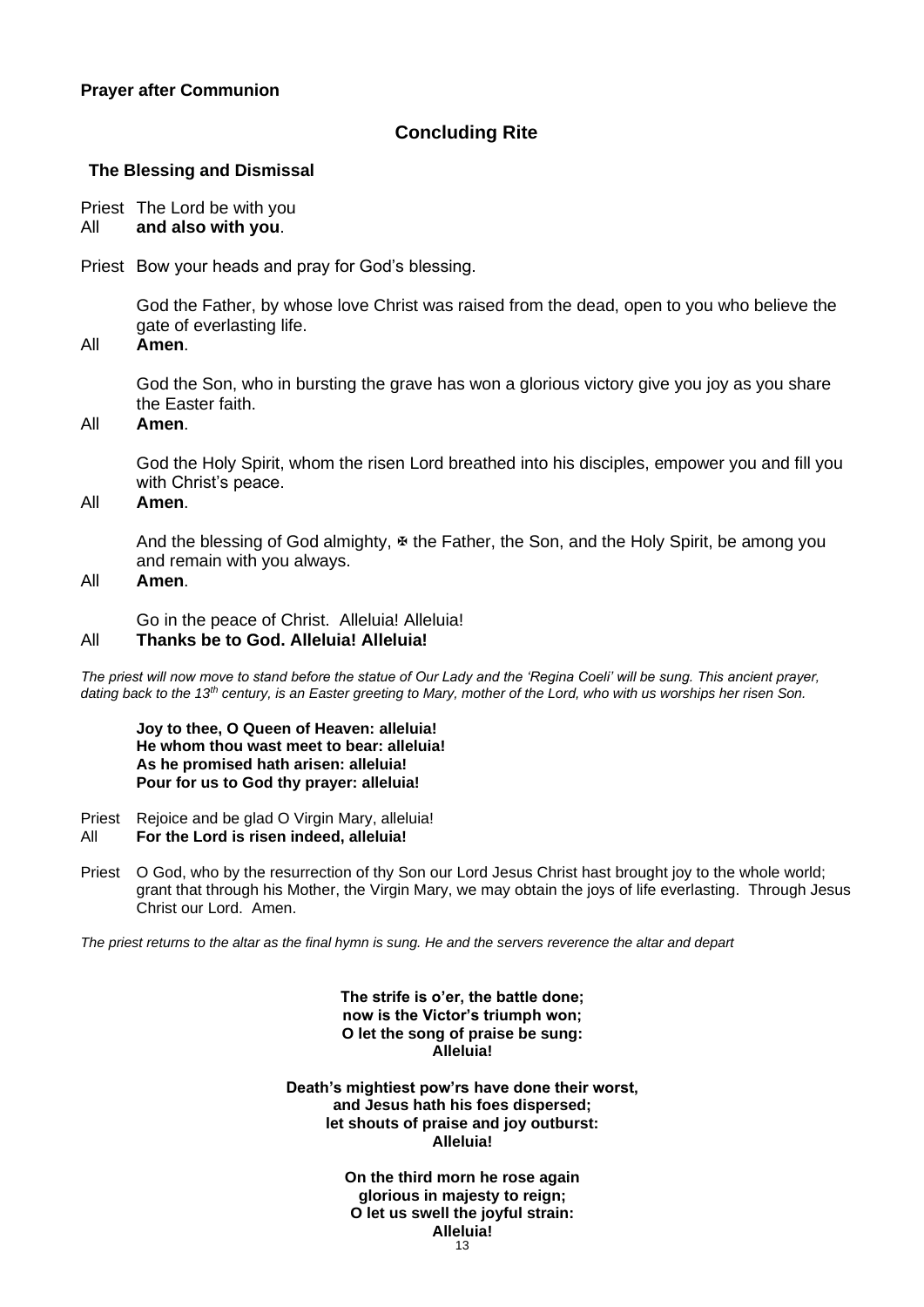## **Prayer after Communion**

# **Concluding Rite**

## **The Blessing and Dismissal**

Priest The Lord be with you

All **and also with you**.

Priest Bow your heads and pray for God's blessing.

God the Father, by whose love Christ was raised from the dead, open to you who believe the gate of everlasting life.

## All **Amen**.

God the Son, who in bursting the grave has won a glorious victory give you joy as you share the Easter faith.

All **Amen**.

God the Holy Spirit, whom the risen Lord breathed into his disciples, empower you and fill you with Christ's peace.

All **Amen**.

And the blessing of God almighty,  $\overline{x}$  the Father, the Son, and the Holy Spirit, be among you and remain with you always.

## All **Amen**.

Go in the peace of Christ. Alleluia! Alleluia!

## All **Thanks be to God. Alleluia! Alleluia!**

*The priest will now move to stand before the statue of Our Lady and the 'Regina Coeli' will be sung. This ancient prayer, dating back to the 13th century, is an Easter greeting to Mary, mother of the Lord, who with us worships her risen Son.*

**Joy to thee, O Queen of Heaven: alleluia! He whom thou wast meet to bear: alleluia! As he promised hath arisen: alleluia! Pour for us to God thy prayer: alleluia!**

- Priest Rejoice and be glad O Virgin Mary, alleluia!
- All **For the Lord is risen indeed, alleluia!**
- Priest O God, who by the resurrection of thy Son our Lord Jesus Christ hast brought joy to the whole world; grant that through his Mother, the Virgin Mary, we may obtain the joys of life everlasting. Through Jesus Christ our Lord. Amen.

*The priest returns to the altar as the final hymn is sung. He and the servers reverence the altar and depart*

**The strife is o'er, the battle done; now is the Victor's triumph won; O let the song of praise be sung: Alleluia!**

**Death's mightiest pow'rs have done their worst, and Jesus hath his foes dispersed; let shouts of praise and joy outburst: Alleluia!**

> **On the third morn he rose again glorious in majesty to reign; O let us swell the joyful strain: Alleluia!**

13